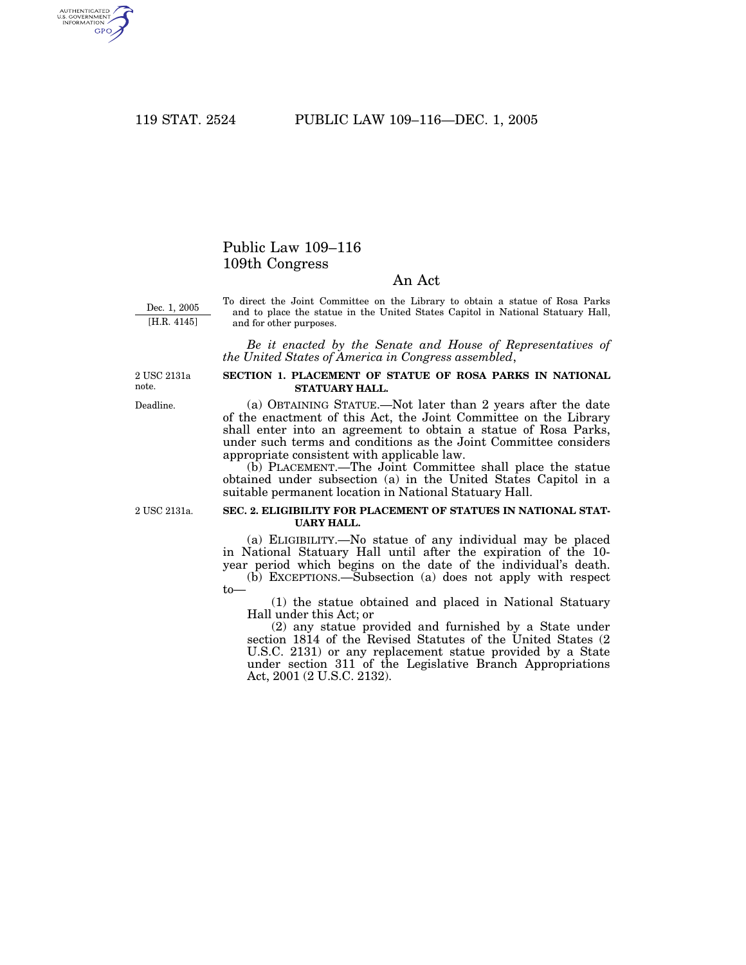AUTHENTICATED<br>U.S. GOVERNMENT<br>INFORMATION GPO

# Public Law 109–116 109th Congress

## An Act

Dec. 1, 2005 [H.R. 4145]

To direct the Joint Committee on the Library to obtain a statue of Rosa Parks and to place the statue in the United States Capitol in National Statuary Hall, and for other purposes.

*Be it enacted by the Senate and House of Representatives of the United States of America in Congress assembled*,

2 USC 2131a note.

Deadline.

#### **SECTION 1. PLACEMENT OF STATUE OF ROSA PARKS IN NATIONAL STATUARY HALL.**

(a) OBTAINING STATUE.—Not later than 2 years after the date of the enactment of this Act, the Joint Committee on the Library shall enter into an agreement to obtain a statue of Rosa Parks, under such terms and conditions as the Joint Committee considers appropriate consistent with applicable law.

(b) PLACEMENT.—The Joint Committee shall place the statue obtained under subsection (a) in the United States Capitol in a suitable permanent location in National Statuary Hall.

2 USC 2131a.

#### **SEC. 2. ELIGIBILITY FOR PLACEMENT OF STATUES IN NATIONAL STAT-UARY HALL.**

(a) ELIGIBILITY.—No statue of any individual may be placed in National Statuary Hall until after the expiration of the 10year period which begins on the date of the individual's death.

(b) EXCEPTIONS.—Subsection (a) does not apply with respect to—

(1) the statue obtained and placed in National Statuary Hall under this Act; or

(2) any statue provided and furnished by a State under section 1814 of the Revised Statutes of the United States (2 U.S.C. 2131) or any replacement statue provided by a State under section 311 of the Legislative Branch Appropriations Act, 2001 (2 U.S.C. 2132).